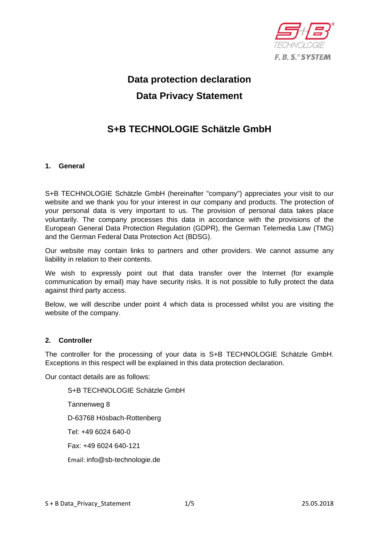

# **Data protection declaration Data Privacy Statement**

# **S+B TECHNOLOGIE Schätzle GmbH**

#### **1. General**

S+B TECHNOLOGIE Schätzle GmbH (hereinafter "company") appreciates your visit to our website and we thank you for your interest in our company and products. The protection of your personal data is very important to us. The provision of personal data takes place voluntarily. The company processes this data in accordance with the provisions of the European General Data Protection Regulation (GDPR), the German Telemedia Law (TMG) and the German Federal Data Protection Act (BDSG).

Our website may contain links to partners and other providers. We cannot assume any liability in relation to their contents.

We wish to expressly point out that data transfer over the Internet (for example communication by email) may have security risks. It is not possible to fully protect the data against third party access.

Below, we will describe under point 4 which data is processed whilst you are visiting the website of the company.

#### **2. Controller**

The controller for the processing of your data is S+B TECHNOLOGIE Schätzle GmbH. Exceptions in this respect will be explained in this data protection declaration.

Our contact details are as follows:

S+B TECHNOLOGIE Schätzle GmbH Tannenweg 8 D-63768 Hösbach-Rottenberg Tel: +49 6024 640-0 Fax: +49 6024 640-121 Email: info@sb-technologie.de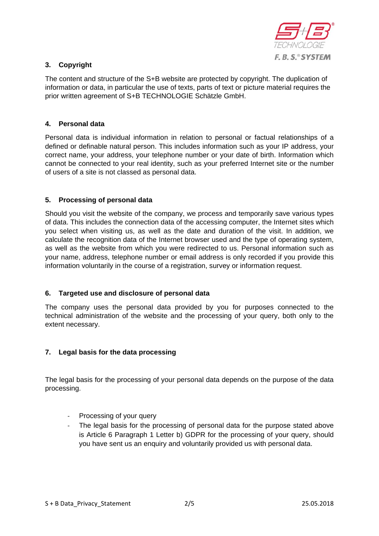

## **3. Copyright**

The content and structure of the S+B website are protected by copyright. The duplication of information or data, in particular the use of texts, parts of text or picture material requires the prior written agreement of S+B TECHNOLOGIE Schätzle GmbH.

### **4. Personal data**

Personal data is individual information in relation to personal or factual relationships of a defined or definable natural person. This includes information such as your IP address, your correct name, your address, your telephone number or your date of birth. Information which cannot be connected to your real identity, such as your preferred Internet site or the number of users of a site is not classed as personal data.

#### **5. Processing of personal data**

Should you visit the website of the company, we process and temporarily save various types of data. This includes the connection data of the accessing computer, the Internet sites which you select when visiting us, as well as the date and duration of the visit. In addition, we calculate the recognition data of the Internet browser used and the type of operating system, as well as the website from which you were redirected to us. Personal information such as your name, address, telephone number or email address is only recorded if you provide this information voluntarily in the course of a registration, survey or information request.

#### **6. Targeted use and disclosure of personal data**

The company uses the personal data provided by you for purposes connected to the technical administration of the website and the processing of your query, both only to the extent necessary.

#### **7. Legal basis for the data processing**

The legal basis for the processing of your personal data depends on the purpose of the data processing.

- ‐ Processing of your query
- The legal basis for the processing of personal data for the purpose stated above is Article 6 Paragraph 1 Letter b) GDPR for the processing of your query, should you have sent us an enquiry and voluntarily provided us with personal data.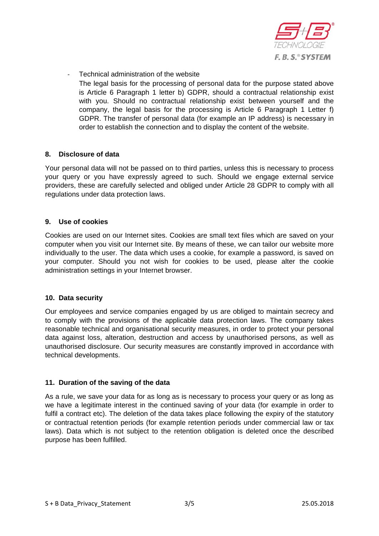

‐ Technical administration of the website The legal basis for the processing of personal data for the purpose stated above is Article 6 Paragraph 1 letter b) GDPR, should a contractual relationship exist with you. Should no contractual relationship exist between yourself and the company, the legal basis for the processing is Article 6 Paragraph 1 Letter f) GDPR. The transfer of personal data (for example an IP address) is necessary in order to establish the connection and to display the content of the website.

#### **8. Disclosure of data**

Your personal data will not be passed on to third parties, unless this is necessary to process your query or you have expressly agreed to such. Should we engage external service providers, these are carefully selected and obliged under Article 28 GDPR to comply with all regulations under data protection laws.

#### **9. Use of cookies**

Cookies are used on our Internet sites. Cookies are small text files which are saved on your computer when you visit our Internet site. By means of these, we can tailor our website more individually to the user. The data which uses a cookie, for example a password, is saved on your computer. Should you not wish for cookies to be used, please alter the cookie administration settings in your Internet browser.

#### **10. Data security**

Our employees and service companies engaged by us are obliged to maintain secrecy and to comply with the provisions of the applicable data protection laws. The company takes reasonable technical and organisational security measures, in order to protect your personal data against loss, alteration, destruction and access by unauthorised persons, as well as unauthorised disclosure. Our security measures are constantly improved in accordance with technical developments.

#### **11. Duration of the saving of the data**

As a rule, we save your data for as long as is necessary to process your query or as long as we have a legitimate interest in the continued saving of your data (for example in order to fulfil a contract etc). The deletion of the data takes place following the expiry of the statutory or contractual retention periods (for example retention periods under commercial law or tax laws). Data which is not subject to the retention obligation is deleted once the described purpose has been fulfilled.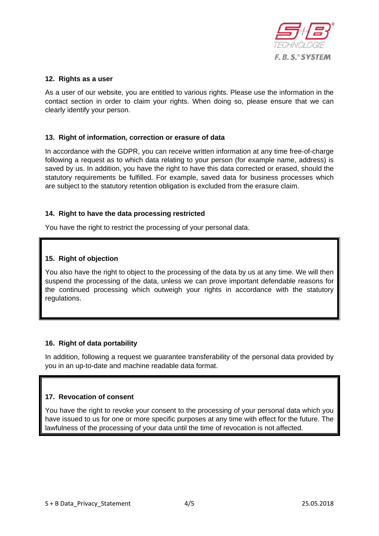

#### **12. Rights as a user**

As a user of our website, you are entitled to various rights. Please use the information in the contact section in order to claim your rights. When doing so, please ensure that we can clearly identify your person.

#### **13. Right of information, correction or erasure of data**

In accordance with the GDPR, you can receive written information at any time free-of-charge following a request as to which data relating to your person (for example name, address) is saved by us. In addition, you have the right to have this data corrected or erased, should the statutory requirements be fulfilled. For example, saved data for business processes which are subject to the statutory retention obligation is excluded from the erasure claim.

#### **14. Right to have the data processing restricted**

You have the right to restrict the processing of your personal data.

#### **15. Right of objection**

You also have the right to object to the processing of the data by us at any time. We will then suspend the processing of the data, unless we can prove important defendable reasons for the continued processing which outweigh your rights in accordance with the statutory regulations.

#### **16. Right of data portability**

In addition, following a request we guarantee transferability of the personal data provided by you in an up-to-date and machine readable data format.

#### **17. Revocation of consent**

You have the right to revoke your consent to the processing of your personal data which you have issued to us for one or more specific purposes at any time with effect for the future. The lawfulness of the processing of your data until the time of revocation is not affected.